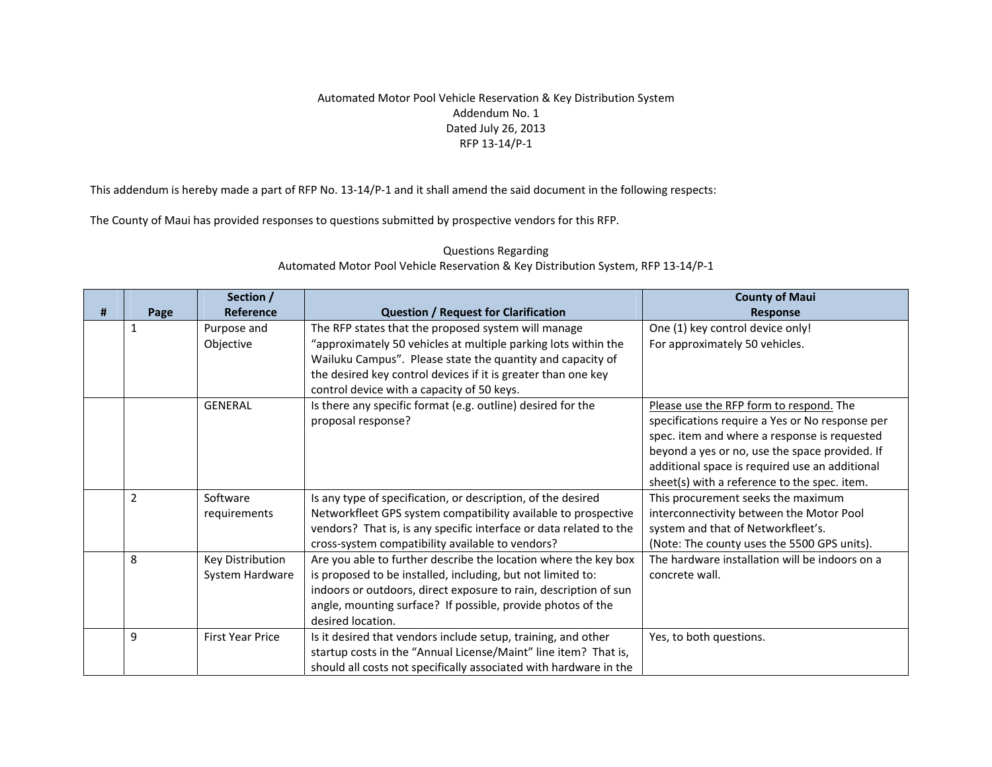## Automated Motor Pool Vehicle Reservation & Key Distribution System Addendum No. 1 Dated July 26, 2013 RFP 13‐14/P‐1

This addendum is hereby made <sup>a</sup> part of RFP No. 13‐14/P‐1 and it shall amend the said document in the following respects:

The County of Maui has provided responses to questions submitted by prospective vendors for this RFP.

|   |                | Section /               |                                                                    | <b>County of Maui</b>                           |
|---|----------------|-------------------------|--------------------------------------------------------------------|-------------------------------------------------|
| # | Page           | Reference               | <b>Question / Request for Clarification</b>                        | <b>Response</b>                                 |
|   | 1              | Purpose and             | The RFP states that the proposed system will manage                | One (1) key control device only!                |
|   |                | Objective               | "approximately 50 vehicles at multiple parking lots within the     | For approximately 50 vehicles.                  |
|   |                |                         | Wailuku Campus". Please state the quantity and capacity of         |                                                 |
|   |                |                         | the desired key control devices if it is greater than one key      |                                                 |
|   |                |                         | control device with a capacity of 50 keys.                         |                                                 |
|   |                | <b>GENERAL</b>          | Is there any specific format (e.g. outline) desired for the        | Please use the RFP form to respond. The         |
|   |                |                         | proposal response?                                                 | specifications require a Yes or No response per |
|   |                |                         |                                                                    | spec. item and where a response is requested    |
|   |                |                         |                                                                    | beyond a yes or no, use the space provided. If  |
|   |                |                         |                                                                    | additional space is required use an additional  |
|   |                |                         |                                                                    | sheet(s) with a reference to the spec. item.    |
|   | $\overline{2}$ | Software                | Is any type of specification, or description, of the desired       | This procurement seeks the maximum              |
|   |                | requirements            | Networkfleet GPS system compatibility available to prospective     | interconnectivity between the Motor Pool        |
|   |                |                         | vendors? That is, is any specific interface or data related to the | system and that of Networkfleet's.              |
|   |                |                         | cross-system compatibility available to vendors?                   | (Note: The county uses the 5500 GPS units).     |
|   | 8              | Key Distribution        | Are you able to further describe the location where the key box    | The hardware installation will be indoors on a  |
|   |                | System Hardware         | is proposed to be installed, including, but not limited to:        | concrete wall.                                  |
|   |                |                         | indoors or outdoors, direct exposure to rain, description of sun   |                                                 |
|   |                |                         | angle, mounting surface? If possible, provide photos of the        |                                                 |
|   |                |                         | desired location.                                                  |                                                 |
|   | 9              | <b>First Year Price</b> | Is it desired that vendors include setup, training, and other      | Yes, to both questions.                         |
|   |                |                         | startup costs in the "Annual License/Maint" line item? That is,    |                                                 |
|   |                |                         | should all costs not specifically associated with hardware in the  |                                                 |

## Questions Regarding Automated Motor Pool Vehicle Reservation & Key Distribution System, RFP 13‐14/P‐1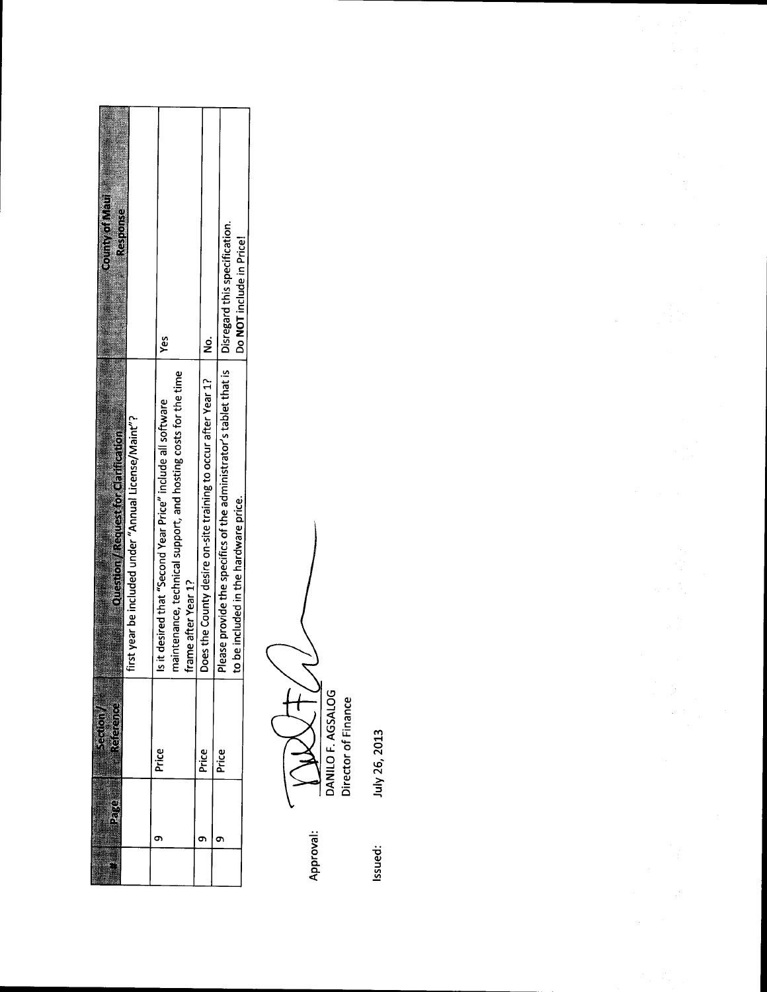| <b>County of Maul</b><br>Response                                                          | yes                                                                                                                        |                                                                                     | Do NOT include in Price!                                                                                                                |
|--------------------------------------------------------------------------------------------|----------------------------------------------------------------------------------------------------------------------------|-------------------------------------------------------------------------------------|-----------------------------------------------------------------------------------------------------------------------------------------|
| irst year be included under "Annual License/Maint"?<br>Question / Request for Garification | naintenance, technical support, and hosting costs for the time<br>it desired that "Second Year Price" include all software | oes the County desire on-site training to occur after Year 1?<br>rame after Year 1? | lease provide the specifics of the administrator's tablet that is   Disregard this specification.<br>be included in the hardware price. |
|                                                                                            | Price                                                                                                                      | Price                                                                               | Price                                                                                                                                   |
|                                                                                            |                                                                                                                            |                                                                                     |                                                                                                                                         |
|                                                                                            |                                                                                                                            |                                                                                     |                                                                                                                                         |

 $\underbrace{\begin{array}{c}\mathbf{1} & \mathbf{1} & \mathbf{1} \\ \mathbf{0} & \mathbf{1} & \mathbf{1} \\ \mathbf{0} & \mathbf{1} & \mathbf{1} \\ \mathbf{0} & \mathbf{1} & \mathbf{1} \\ \mathbf{0} & \mathbf{1} & \mathbf{1} \\ \mathbf{0} & \mathbf{1} & \mathbf{1} \\ \mathbf{0} & \mathbf{1} & \mathbf{1} \\ \mathbf{0} & \mathbf{1} & \mathbf{1} \\ \mathbf{0} & \mathbf{1} & \mathbf{1} \\ \mathbf{0} & \mathbf{1} & \mathbf{1} \\ \$  $\mathsf{T}$  $\equiv$ Approval:

July 26, 2013 Issued: